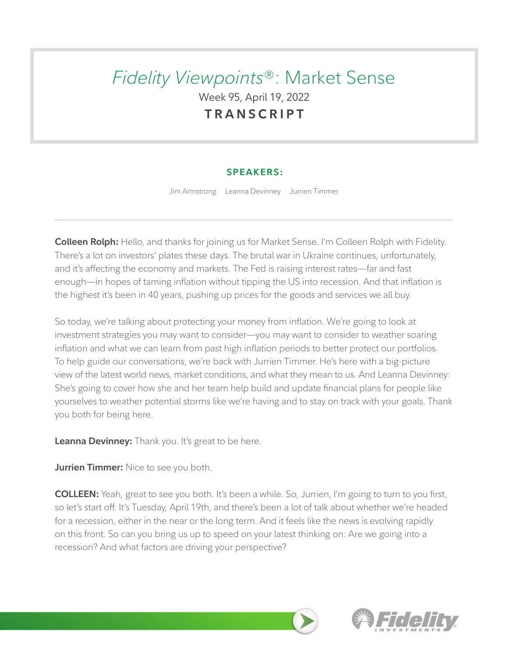# *Fidelity Viewpoints*®: Market Sense Week 95, April 19, 2022 **TRANSCRIPT**

# **SPEAKERS:**

Jim Armstrong Leanna Devinney Jurrien Timmer

**Colleen Rolph:** Hello, and thanks for joining us for Market Sense. I'm Colleen Rolph with Fidelity. There's a lot on investors' plates these days. The brutal war in Ukraine continues, unfortunately, and it's affecting the economy and markets. The Fed is raising interest rates—far and fast enough—in hopes of taming inflation without tipping the US into recession. And that inflation is the highest it's been in 40 years, pushing up prices for the goods and services we all buy.

So today, we're talking about protecting your money from inflation. We're going to look at investment strategies you may want to consider—you may want to consider to weather soaring inflation and what we can learn from past high inflation periods to better protect our portfolios. To help guide our conversations, we're back with Jurrien Timmer. He's here with a big-picture view of the latest world news, market conditions, and what they mean to us. And Leanna Devinney: She's going to cover how she and her team help build and update financial plans for people like yourselves to weather potential storms like we're having and to stay on track with your goals. Thank you both for being here.

**Leanna Devinney:** Thank you. It's great to be here.

**Jurrien Timmer:** Nice to see you both.

**COLLEEN:** Yeah, great to see you both. It's been a while. So, Jurrien, I'm going to turn to you first, so let's start off. It's Tuesday, April 19th, and there's been a lot of talk about whether we're headed for a recession, either in the near or the long term. And it feels like the news is evolving rapidly on this front. So can you bring us up to speed on your latest thinking on: Are we going into a recession? And what factors are driving your perspective?

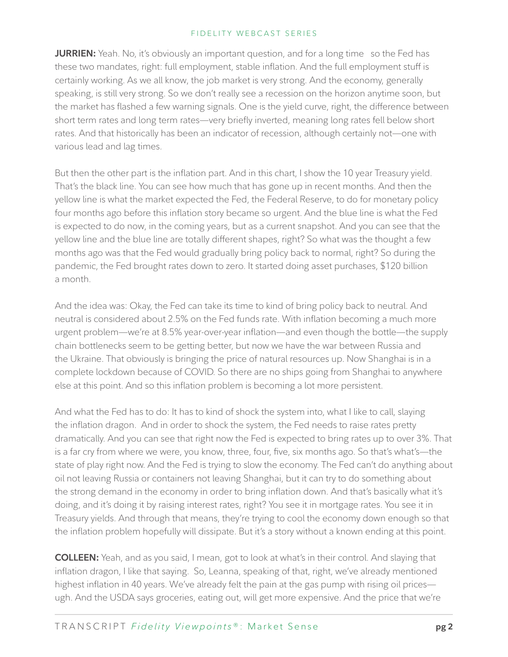**JURRIEN:** Yeah. No, it's obviously an important question, and for a long time so the Fed has these two mandates, right: full employment, stable inflation. And the full employment stuff is certainly working. As we all know, the job market is very strong. And the economy, generally speaking, is still very strong. So we don't really see a recession on the horizon anytime soon, but the market has flashed a few warning signals. One is the yield curve, right, the difference between short term rates and long term rates—very briefly inverted, meaning long rates fell below short rates. And that historically has been an indicator of recession, although certainly not—one with various lead and lag times.

But then the other part is the inflation part. And in this chart, I show the 10 year Treasury yield. That's the black line. You can see how much that has gone up in recent months. And then the yellow line is what the market expected the Fed, the Federal Reserve, to do for monetary policy four months ago before this inflation story became so urgent. And the blue line is what the Fed is expected to do now, in the coming years, but as a current snapshot. And you can see that the yellow line and the blue line are totally different shapes, right? So what was the thought a few months ago was that the Fed would gradually bring policy back to normal, right? So during the pandemic, the Fed brought rates down to zero. It started doing asset purchases, \$120 billion a month.

And the idea was: Okay, the Fed can take its time to kind of bring policy back to neutral. And neutral is considered about 2.5% on the Fed funds rate. With inflation becoming a much more urgent problem—we're at 8.5% year-over-year inflation—and even though the bottle—the supply chain bottlenecks seem to be getting better, but now we have the war between Russia and the Ukraine. That obviously is bringing the price of natural resources up. Now Shanghai is in a complete lockdown because of COVID. So there are no ships going from Shanghai to anywhere else at this point. And so this inflation problem is becoming a lot more persistent.

And what the Fed has to do: It has to kind of shock the system into, what I like to call, slaying the inflation dragon. And in order to shock the system, the Fed needs to raise rates pretty dramatically. And you can see that right now the Fed is expected to bring rates up to over 3%. That is a far cry from where we were, you know, three, four, five, six months ago. So that's what's—the state of play right now. And the Fed is trying to slow the economy. The Fed can't do anything about oil not leaving Russia or containers not leaving Shanghai, but it can try to do something about the strong demand in the economy in order to bring inflation down. And that's basically what it's doing, and it's doing it by raising interest rates, right? You see it in mortgage rates. You see it in Treasury yields. And through that means, they're trying to cool the economy down enough so that the inflation problem hopefully will dissipate. But it's a story without a known ending at this point.

**COLLEEN:** Yeah, and as you said, I mean, got to look at what's in their control. And slaying that inflation dragon, I like that saying. So, Leanna, speaking of that, right, we've already mentioned highest inflation in 40 years. We've already felt the pain at the gas pump with rising oil prices ugh. And the USDA says groceries, eating out, will get more expensive. And the price that we're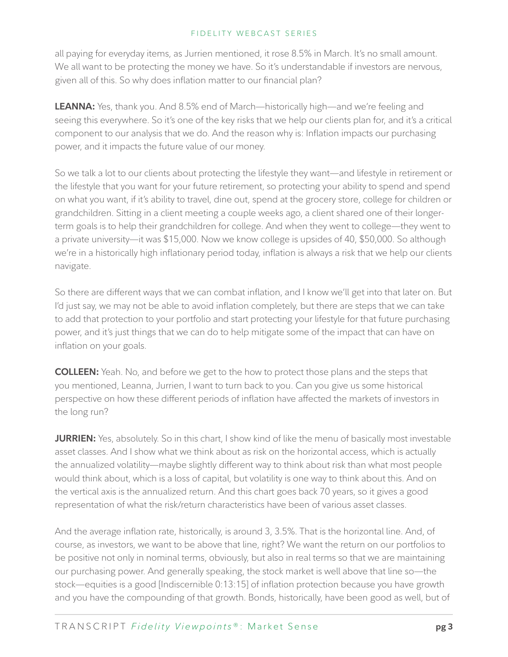all paying for everyday items, as Jurrien mentioned, it rose 8.5% in March. It's no small amount. We all want to be protecting the money we have. So it's understandable if investors are nervous, given all of this. So why does inflation matter to our financial plan?

**LEANNA:** Yes, thank you. And 8.5% end of March—historically high—and we're feeling and seeing this everywhere. So it's one of the key risks that we help our clients plan for, and it's a critical component to our analysis that we do. And the reason why is: Inflation impacts our purchasing power, and it impacts the future value of our money.

So we talk a lot to our clients about protecting the lifestyle they want—and lifestyle in retirement or the lifestyle that you want for your future retirement, so protecting your ability to spend and spend on what you want, if it's ability to travel, dine out, spend at the grocery store, college for children or grandchildren. Sitting in a client meeting a couple weeks ago, a client shared one of their longerterm goals is to help their grandchildren for college. And when they went to college—they went to a private university—it was \$15,000. Now we know college is upsides of 40, \$50,000. So although we're in a historically high inflationary period today, inflation is always a risk that we help our clients navigate.

So there are different ways that we can combat inflation, and I know we'll get into that later on. But I'd just say, we may not be able to avoid inflation completely, but there are steps that we can take to add that protection to your portfolio and start protecting your lifestyle for that future purchasing power, and it's just things that we can do to help mitigate some of the impact that can have on inflation on your goals.

**COLLEEN:** Yeah. No, and before we get to the how to protect those plans and the steps that you mentioned, Leanna, Jurrien, I want to turn back to you. Can you give us some historical perspective on how these different periods of inflation have affected the markets of investors in the long run?

**JURRIEN:** Yes, absolutely. So in this chart, I show kind of like the menu of basically most investable asset classes. And I show what we think about as risk on the horizontal access, which is actually the annualized volatility—maybe slightly different way to think about risk than what most people would think about, which is a loss of capital, but volatility is one way to think about this. And on the vertical axis is the annualized return. And this chart goes back 70 years, so it gives a good representation of what the risk/return characteristics have been of various asset classes.

And the average inflation rate, historically, is around 3, 3.5%. That is the horizontal line. And, of course, as investors, we want to be above that line, right? We want the return on our portfolios to be positive not only in nominal terms, obviously, but also in real terms so that we are maintaining our purchasing power. And generally speaking, the stock market is well above that line so—the stock—equities is a good [Indiscernible 0:13:15] of inflation protection because you have growth and you have the compounding of that growth. Bonds, historically, have been good as well, but of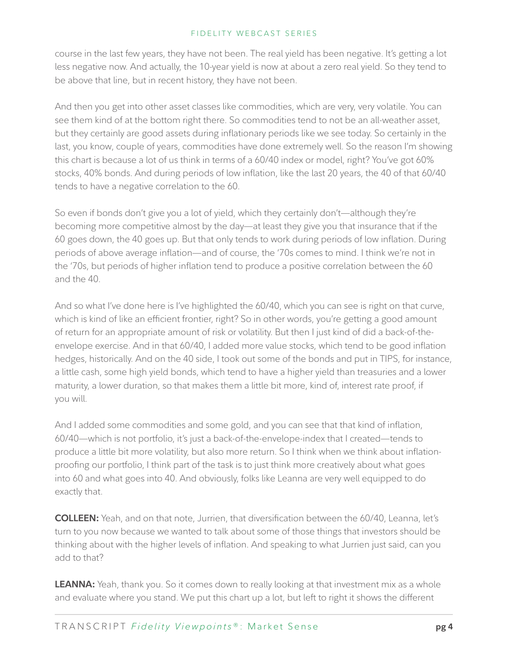course in the last few years, they have not been. The real yield has been negative. It's getting a lot less negative now. And actually, the 10-year yield is now at about a zero real yield. So they tend to be above that line, but in recent history, they have not been.

And then you get into other asset classes like commodities, which are very, very volatile. You can see them kind of at the bottom right there. So commodities tend to not be an all-weather asset, but they certainly are good assets during inflationary periods like we see today. So certainly in the last, you know, couple of years, commodities have done extremely well. So the reason I'm showing this chart is because a lot of us think in terms of a 60/40 index or model, right? You've got 60% stocks, 40% bonds. And during periods of low inflation, like the last 20 years, the 40 of that 60/40 tends to have a negative correlation to the 60.

So even if bonds don't give you a lot of yield, which they certainly don't—although they're becoming more competitive almost by the day—at least they give you that insurance that if the 60 goes down, the 40 goes up. But that only tends to work during periods of low inflation. During periods of above average inflation—and of course, the '70s comes to mind. I think we're not in the '70s, but periods of higher inflation tend to produce a positive correlation between the 60 and the 40.

And so what I've done here is I've highlighted the 60/40, which you can see is right on that curve, which is kind of like an efficient frontier, right? So in other words, you're getting a good amount of return for an appropriate amount of risk or volatility. But then I just kind of did a back-of-theenvelope exercise. And in that 60/40, I added more value stocks, which tend to be good inflation hedges, historically. And on the 40 side, I took out some of the bonds and put in TIPS, for instance, a little cash, some high yield bonds, which tend to have a higher yield than treasuries and a lower maturity, a lower duration, so that makes them a little bit more, kind of, interest rate proof, if you will.

And I added some commodities and some gold, and you can see that that kind of inflation, 60/40—which is not portfolio, it's just a back-of-the-envelope-index that I created—tends to produce a little bit more volatility, but also more return. So I think when we think about inflationproofing our portfolio, I think part of the task is to just think more creatively about what goes into 60 and what goes into 40. And obviously, folks like Leanna are very well equipped to do exactly that.

**COLLEEN:** Yeah, and on that note, Jurrien, that diversification between the 60/40, Leanna, let's turn to you now because we wanted to talk about some of those things that investors should be thinking about with the higher levels of inflation. And speaking to what Jurrien just said, can you add to that?

**LEANNA:** Yeah, thank you. So it comes down to really looking at that investment mix as a whole and evaluate where you stand. We put this chart up a lot, but left to right it shows the different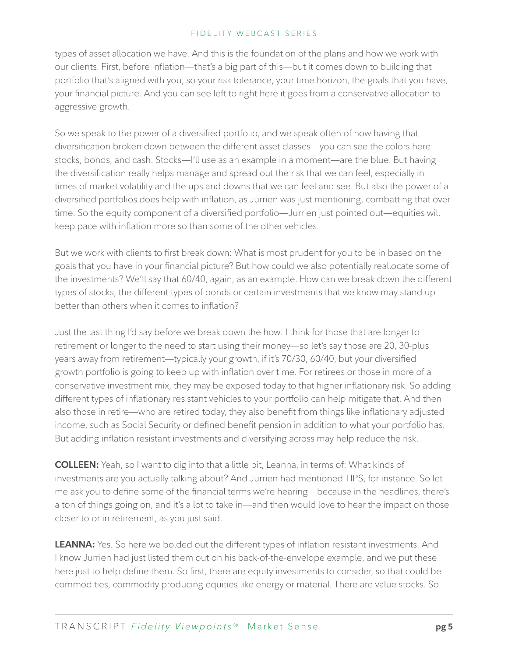types of asset allocation we have. And this is the foundation of the plans and how we work with our clients. First, before inflation—that's a big part of this—but it comes down to building that portfolio that's aligned with you, so your risk tolerance, your time horizon, the goals that you have, your financial picture. And you can see left to right here it goes from a conservative allocation to aggressive growth.

So we speak to the power of a diversified portfolio, and we speak often of how having that diversification broken down between the different asset classes—you can see the colors here: stocks, bonds, and cash. Stocks—I'll use as an example in a moment—are the blue. But having the diversification really helps manage and spread out the risk that we can feel, especially in times of market volatility and the ups and downs that we can feel and see. But also the power of a diversified portfolios does help with inflation, as Jurrien was just mentioning, combatting that over time. So the equity component of a diversified portfolio—Jurrien just pointed out—equities will keep pace with inflation more so than some of the other vehicles.

But we work with clients to first break down: What is most prudent for you to be in based on the goals that you have in your financial picture? But how could we also potentially reallocate some of the investments? We'll say that 60/40, again, as an example. How can we break down the different types of stocks, the different types of bonds or certain investments that we know may stand up better than others when it comes to inflation?

Just the last thing I'd say before we break down the how: I think for those that are longer to retirement or longer to the need to start using their money—so let's say those are 20, 30-plus years away from retirement—typically your growth, if it's 70/30, 60/40, but your diversified growth portfolio is going to keep up with inflation over time. For retirees or those in more of a conservative investment mix, they may be exposed today to that higher inflationary risk. So adding different types of inflationary resistant vehicles to your portfolio can help mitigate that. And then also those in retire—who are retired today, they also benefit from things like inflationary adjusted income, such as Social Security or defined benefit pension in addition to what your portfolio has. But adding inflation resistant investments and diversifying across may help reduce the risk.

**COLLEEN:** Yeah, so I want to dig into that a little bit, Leanna, in terms of: What kinds of investments are you actually talking about? And Jurrien had mentioned TIPS, for instance. So let me ask you to define some of the financial terms we're hearing—because in the headlines, there's a ton of things going on, and it's a lot to take in—and then would love to hear the impact on those closer to or in retirement, as you just said.

**LEANNA:** Yes. So here we bolded out the different types of inflation resistant investments. And I know Jurrien had just listed them out on his back-of-the-envelope example, and we put these here just to help define them. So first, there are equity investments to consider, so that could be commodities, commodity producing equities like energy or material. There are value stocks. So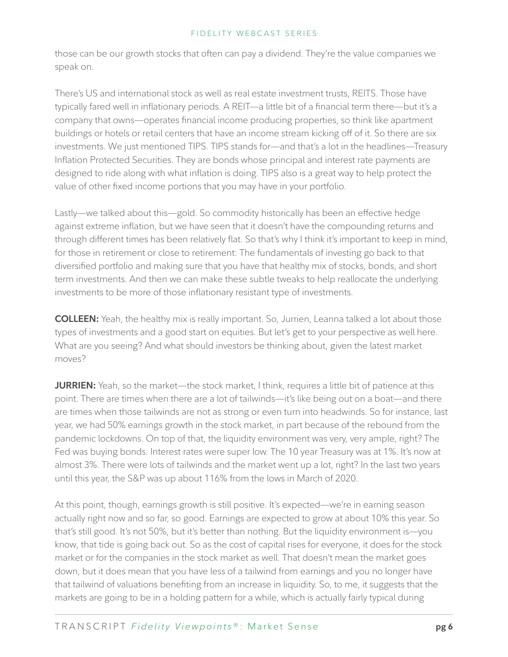those can be our growth stocks that often can pay a dividend. They're the value companies we speak on.

There's US and international stock as well as real estate investment trusts, REITS. Those have typically fared well in inflationary periods. A REIT—a little bit of a financial term there—but it's a company that owns—operates financial income producing properties, so think like apartment buildings or hotels or retail centers that have an income stream kicking off of it. So there are six investments. We just mentioned TIPS. TIPS stands for—and that's a lot in the headlines—Treasury Inflation Protected Securities. They are bonds whose principal and interest rate payments are designed to ride along with what inflation is doing. TIPS also is a great way to help protect the value of other fixed income portions that you may have in your portfolio.

Lastly—we talked about this—gold. So commodity historically has been an effective hedge against extreme inflation, but we have seen that it doesn't have the compounding returns and through different times has been relatively flat. So that's why I think it's important to keep in mind, for those in retirement or close to retirement: The fundamentals of investing go back to that diversified portfolio and making sure that you have that healthy mix of stocks, bonds, and short term investments. And then we can make these subtle tweaks to help reallocate the underlying investments to be more of those inflationary resistant type of investments.

**COLLEEN:** Yeah, the healthy mix is really important. So, Jurrien, Leanna talked a lot about those types of investments and a good start on equities. But let's get to your perspective as well here. What are you seeing? And what should investors be thinking about, given the latest market moves?

**JURRIEN:** Yeah, so the market—the stock market, I think, requires a little bit of patience at this point. There are times when there are a lot of tailwinds—it's like being out on a boat—and there are times when those tailwinds are not as strong or even turn into headwinds. So for instance, last year, we had 50% earnings growth in the stock market, in part because of the rebound from the pandemic lockdowns. On top of that, the liquidity environment was very, very ample, right? The Fed was buying bonds. Interest rates were super low. The 10 year Treasury was at 1%. It's now at almost 3%. There were lots of tailwinds and the market went up a lot, right? In the last two years until this year, the S&P was up about 116% from the lows in March of 2020.

At this point, though, earnings growth is still positive. It's expected—we're in earning season actually right now and so far, so good. Earnings are expected to grow at about 10% this year. So that's still good. It's not 50%, but it's better than nothing. But the liquidity environment is—you know, that tide is going back out. So as the cost of capital rises for everyone, it does for the stock market or for the companies in the stock market as well. That doesn't mean the market goes down, but it does mean that you have less of a tailwind from earnings and you no longer have that tailwind of valuations benefiting from an increase in liquidity. So, to me, it suggests that the markets are going to be in a holding pattern for a while, which is actually fairly typical during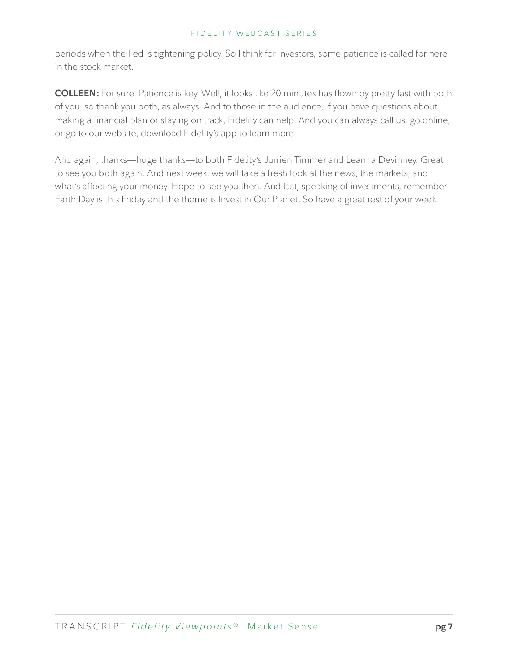periods when the Fed is tightening policy. So I think for investors, some patience is called for here in the stock market.

**COLLEEN:** For sure. Patience is key. Well, it looks like 20 minutes has flown by pretty fast with both of you, so thank you both, as always. And to those in the audience, if you have questions about making a financial plan or staying on track, Fidelity can help. And you can always call us, go online, or go to our website, download Fidelity's app to learn more.

And again, thanks—huge thanks—to both Fidelity's Jurrien Timmer and Leanna Devinney. Great to see you both again. And next week, we will take a fresh look at the news, the markets, and what's affecting your money. Hope to see you then. And last, speaking of investments, remember Earth Day is this Friday and the theme is Invest in Our Planet. So have a great rest of your week.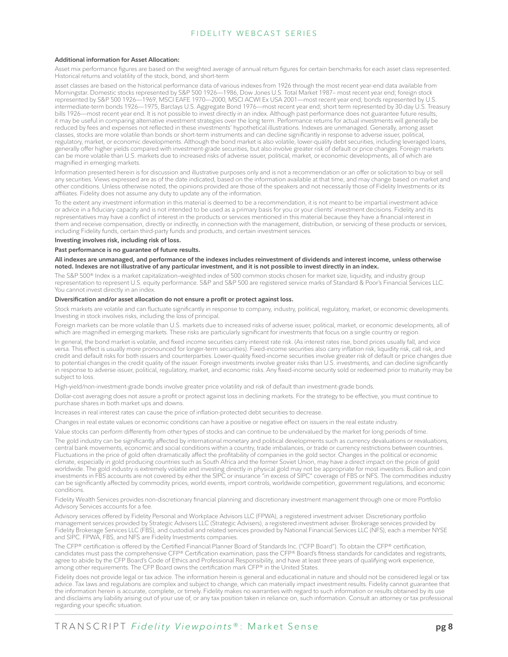#### **Additional information for Asset Allocation:**

Asset mix performance figures are based on the weighted average of annual return figures for certain benchmarks for each asset class represented. Historical returns and volatility of the stock, bond, and short-term

asset classes are based on the historical performance data of various indexes from 1926 through the most recent year-end data available from Morningstar. Domestic stocks represented by S&P 500 1926—1986, Dow Jones U.S. Total Market 1987– most recent year end; foreign stock represented by S&P 500 1926—1969, MSCI EAFE 1970—2000, MSCI ACWI Ex USA 2001—most recent year end; bonds represented by U.S. intermediate-term bonds 1926—1975, Barclays U.S. Aggregate Bond 1976—most recent year end; short term represented by 30-day U.S. Treasury bills 1926—most recent year end. It is not possible to invest directly in an index. Although past performance does not guarantee future results, it may be useful in comparing alternative investment strategies over the long term. Performance returns for actual investments will generally be reduced by fees and expenses not reflected in these investments' hypothetical illustrations. Indexes are unmanaged. Generally, among asset classes, stocks are more volatile than bonds or short-term instruments and can decline significantly in response to adverse issuer, political, regulatory, market, or economic developments. Although the bond market is also volatile, lower-quality debt securities, including leveraged loans, generally offer higher yields compared with investment-grade securities, but also involve greater risk of default or price changes. Foreign markets can be more volatile than U.S. markets due to increased risks of adverse issuer, political, market, or economic developments, all of which are magnified in emerging markets.

Information presented herein is for discussion and illustrative purposes only and is not a recommendation or an offer or solicitation to buy or sell any securities. Views expressed are as of the date indicated, based on the information available at that time, and may change based on market and other conditions. Unless otherwise noted, the opinions provided are those of the speakers and not necessarily those of Fidelity Investments or its affiliates. Fidelity does not assume any duty to update any of the information.

To the extent any investment information in this material is deemed to be a recommendation, it is not meant to be impartial investment advice or advice in a fiduciary capacity and is not intended to be used as a primary basis for you or your clients' investment decisions. Fidelity and its representatives may have a conflict of interest in the products or services mentioned in this material because they have a financial interest in them and receive compensation, directly or indirectly, in connection with the management, distribution, or servicing of these products or services, including Fidelity funds, certain third-party funds and products, and certain investment services.

#### **Investing involves risk, including risk of loss.**

#### **Past performance is no guarantee of future results.**

**All indexes are unmanaged, and performance of the indexes includes reinvestment of dividends and interest income, unless otherwise noted. Indexes are not illustrative of any particular investment, and it is not possible to invest directly in an index.** 

The S&P 500® Index is a market capitalization–weighted index of 500 common stocks chosen for market size, liquidity, and industry group representation to represent U.S. equity performance. S&P and S&P 500 are registered service marks of Standard & Poor's Financial Services LLC. You cannot invest directly in an index.

#### **Diversification and/or asset allocation do not ensure a profit or protect against loss.**

Stock markets are volatile and can fluctuate significantly in response to company, industry, political, regulatory, market, or economic developments. Investing in stock involves risks, including the loss of principal.

Foreign markets can be more volatile than U.S. markets due to increased risks of adverse issuer, political, market, or economic developments, all of which are magnified in emerging markets. These risks are particularly significant for investments that focus on a single country or region.

In general, the bond market is volatile, and fixed income securities carry interest rate risk. (As interest rates rise, bond prices usually fall, and vice versa. This effect is usually more pronounced for longer-term securities). Fixed-income securities also carry inflation risk, liquidity risk, call risk, and credit and default risks for both issuers and counterparties. Lower-quality fixed-income securities involve greater risk of default or price changes due to potential changes in the credit quality of the issuer. Foreign investments involve greater risks than U.S. investments, and can decline significantly in response to adverse issuer, political, regulatory, market, and economic risks. Any fixed-income security sold or redeemed prior to maturity may be subject to loss.

High-yield/non-investment-grade bonds involve greater price volatility and risk of default than investment-grade bonds.

Dollar-cost averaging does not assure a profit or protect against loss in declining markets. For the strategy to be effective, you must continue to purchase shares in both market ups and downs.

Increases in real interest rates can cause the price of inflation-protected debt securities to decrease.

Changes in real estate values or economic conditions can have a positive or negative effect on issuers in the real estate industry.

Value stocks can perform differently from other types of stocks and can continue to be undervalued by the market for long periods of time.

The gold industry can be significantly affected by international monetary and political developments such as currency devaluations or revaluations, central bank movements, economic and social conditions within a country, trade imbalances, or trade or currency restrictions between countries. Fluctuations in the price of gold often dramatically affect the profitability of companies in the gold sector. Changes in the political or economic climate, especially in gold producing countries such as South Africa and the former Soviet Union, may have a direct impact on the price of gold worldwide. The gold industry is extremely volatile and investing directly in physical gold may not be appropriate for most investors. Bullion and coin investments in FBS accounts are not covered by either the SIPC or insurance "in excess of SIPC" coverage of FBS or NFS. The commodities industry can be significantly affected by commodity prices, world events, import controls, worldwide competition, government regulations, and economic conditions.

Fidelity Wealth Services provides non-discretionary financial planning and discretionary investment management through one or more Portfolio Advisory Services accounts for a fee.

Advisory services offered by Fidelity Personal and Workplace Advisors LLC (FPWA), a registered investment adviser. Discretionary portfolio management services provided by Strategic Advisers LLC (Strategic Advisers), a registered investment adviser. Brokerage services provided by Fidelity Brokerage Services LLC (FBS), and custodial and related services provided by National Financial Services LLC (NFS), each a member NYSE and SIPC. FPWA, FBS, and NFS are Fidelity Investments companies.

The CFP® certification is offered by the Certified Financial Planner Board of Standards Inc. ("CFP Board"). To obtain the CFP® certification, candidates must pass the comprehensive CFP® Certification examination, pass the CFP® Board's fitness standards for candidates and registrants, agree to abide by the CFP Board's Code of Ethics and Professional Responsibility, and have at least three years of qualifying work experience, among other requirements. The CFP Board owns the certification mark CFP® in the United States.

Fidelity does not provide legal or tax advice. The information herein is general and educational in nature and should not be considered legal or tax advice. Tax laws and regulations are complex and subject to change, which can materially impact investment results. Fidelity cannot guarantee that the information herein is accurate, complete, or timely. Fidelity makes no warranties with regard to such information or results obtained by its use and disclaims any liability arising out of your use of, or any tax position taken in reliance on, such information. Consult an attorney or tax professional regarding your specific situation.